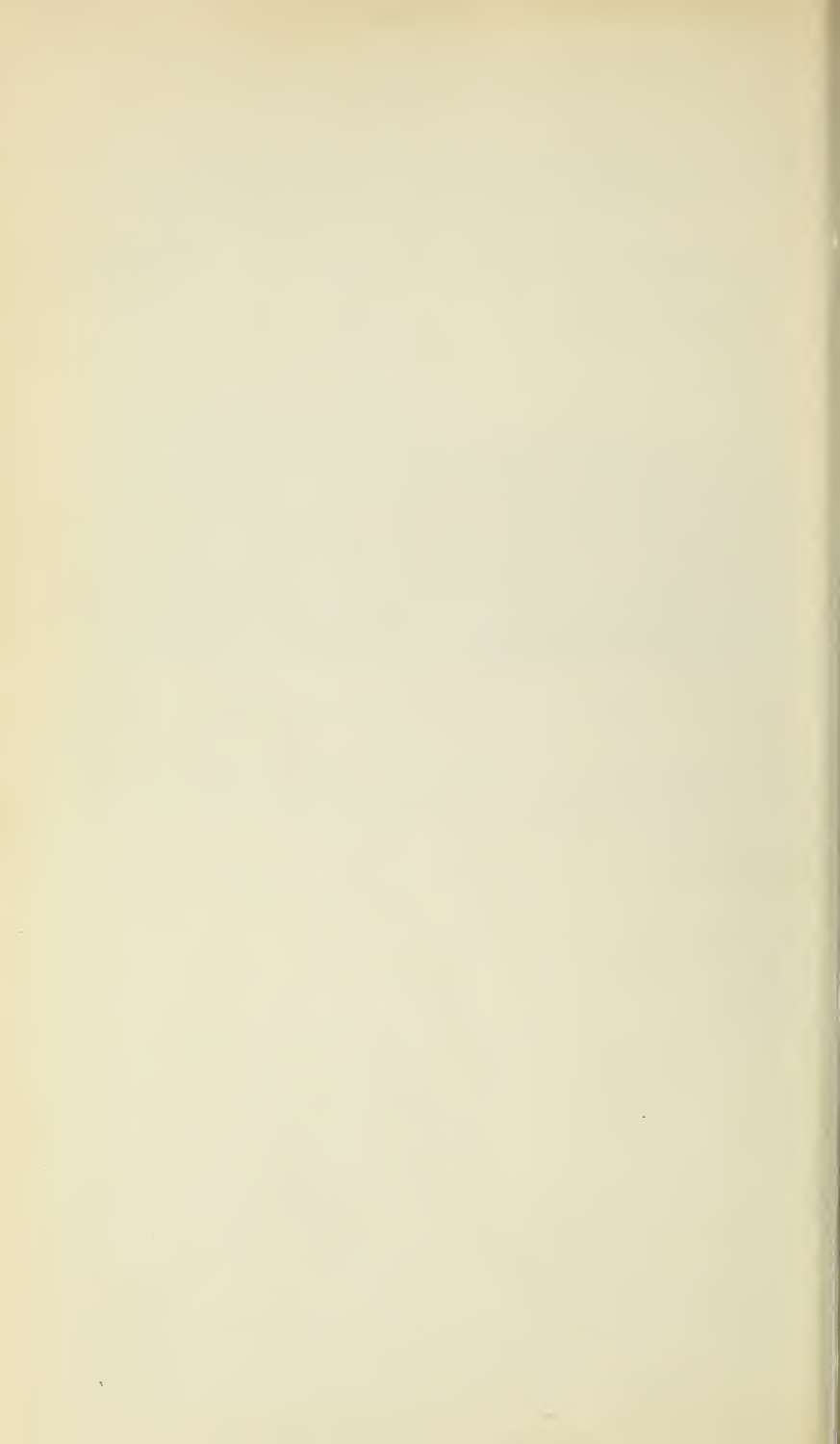÷,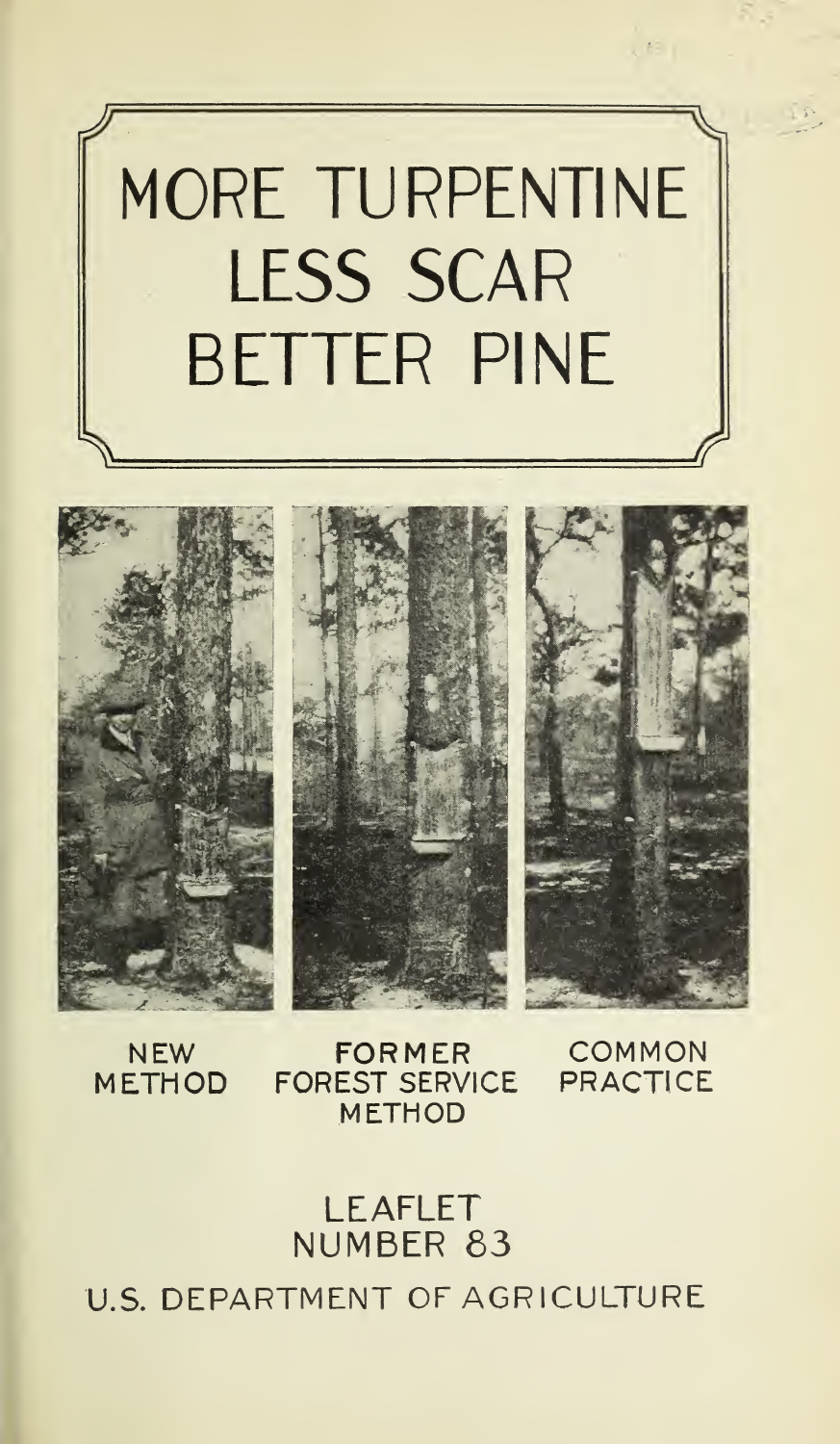



#### **NEW** METHOD FORMER FOREST SERVICE METHOD COMMON PRACTICE

# LEAFLET NUMBER 83 U.S. DEPARTMENT OF AGRICULTURE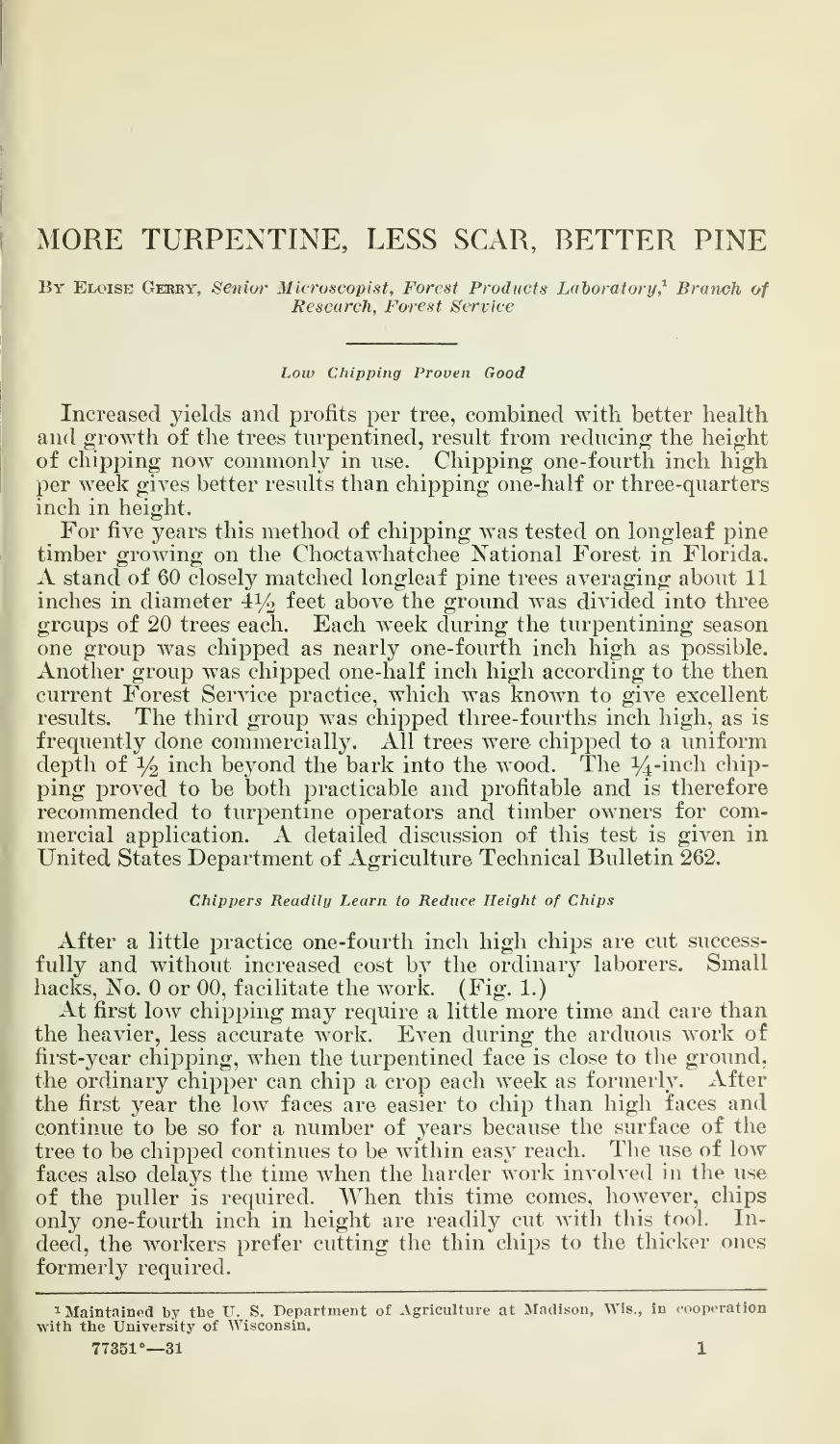## MORE TURPENTINE, LESS SCAR, BETTER PINE

By ELOISE GERRY, Senior Microscopist, Forest Products Laboratory,<sup>1</sup> Branch of Research, Forest Service

Low Chipping Proven Good

Increased yields and profits per tree, combined with better health and growth of the trees turpentined, result from reducing the height of chipping now commonly in use. Chipping one-fourth inch high per week gives better results than chipping one-half or three-quarters inch in height.

For five years this method of chipping was tested on longleaf pine timber growing on the Choctawhatchee National Forest in Florida. A stand of <sup>60</sup> closely matched longleaf pine trees averaging about <sup>11</sup> inches in diameter  $4\frac{1}{2}$  feet above the ground was divided into three groups of 20 trees each. Each week cluring the turpentining season one group was chipped as nearly one-fourth inch high as possible. Another group was chipped one-half inch high according to the then current Forest Service practice, which was known to give excellent results. The third group was chipped three-fourths inch high, as is frequently done commercially. All trees were chipped to a uniform depth of  $\frac{1}{2}$  inch beyond the bark into the wood. The  $\frac{1}{4}$ -inch chipping proved to be both practicable and profitable and is therefore recommended to turpentine operators and timber owners for commercial application. A detailed discussion of this test is given in United States Department of Agriculture Technical Bulletin 262.

#### Chippers Readily Learn to Reduce Height of Chips

After a little practice one-fourth inch high chips are cut success fully and without increased cost by the ordinary laborers. Small hacks, No. 0 or 00, facilitate the work. (Fig. 1.)

At first low chipping may require a little more time and care than the heavier, less accurate work. Even during the arduous work of first-year chipping, when the turpentined face is close to the ground, the ordinary chipper can chip a crop each week as formerly. After the first year the low faces are easier to chip than high faces and continue to be so for a number of years because the surface of the tree to be chipped continues to be within easy reach. The use of low faces also delays the time when the harder work involved in the use of the puller is required. When this time comes, however, chips only one-fourth inch in height are readily cut with this tool. Indeed, the workers prefer cutting the thin chips to the thicker ones formerly required.

 $^1$ Maintained by the U. S. Department of Agriculture at Madison, Wis., in cooperation with the University of Wisconsin.  $77351^{\circ}-31$  1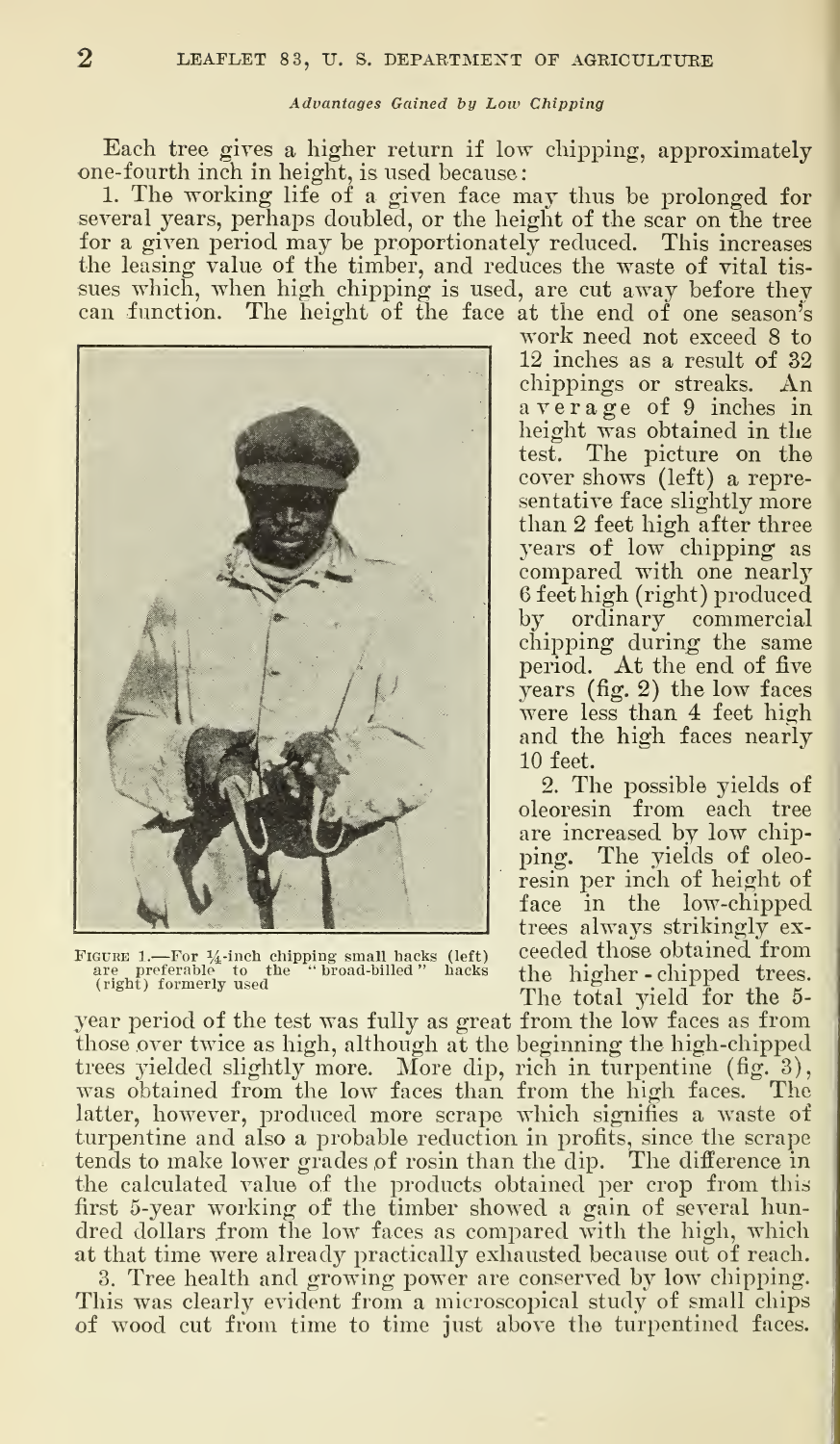### Advantages Gained by Low Chipping

Each tree gives a higher return if low chipping, approximately one-fourth inch in height, is used because

1. The working life of a given face may thus be prolonged for several years, perhaps doubled, or the height of the scar on the tree for a given period may be proportionately reduced. This increases the leasing value of the timber, and reduces the waste of vital tis sues which, when high chipping is used, are cut away before they can function. The height of the face at the end of one season's



FIGURE 1.—For 1/<sub>4</sub>-inch chipping small hacks (left) or are preferable to the " broad-billed " hacks the cright) formerly used

year period of the test was fully as great from the low faces as from those over twice as high, although at the beginning the high-chipped trees yielded slightly more. More dip, rich in turpentine (fig. 3), was obtained from the low faces than from the high faces. The latter, however, produced more scrape which signifies a waste of turpentine and also a probable reduction in profits, since the scrape tends to make lower grades of rosin than the dip. The difference in the calculated value of the products obtained per crop from this first 5-year working of the timber showed a gain of several hundred dollars from the low faces as compared with the high, which at that time were already practically exhausted because out of reach.

3. Tree health and growing power are conserved by low chipping. This was clearly evident from a microscopical study of small chips of wood cut from time to time just above the turpentined faces.

work need not exceed 8 to 12 inches as a result of 32 chippings or streaks. An average of <sup>9</sup> inches in height was obtained in the test. The picture on the cover shows (left) a representative face slightly more than 2 feet high after three years of low chipping as compared with one nearly 6 feet high (right) produced by ordinary commercial chipping during the same period. At the end of five years (fig. 2) the low faces were less than 4 feet high and the high faces nearly 10 feet.

2. The possible yields of oleoresin from each tree are increased by low chipping. The yields of oleo resin per inch of height of face in the low-chipped trees always strikingly ex ceeded those obtained from the higher - chipped trees. The total yield for the 5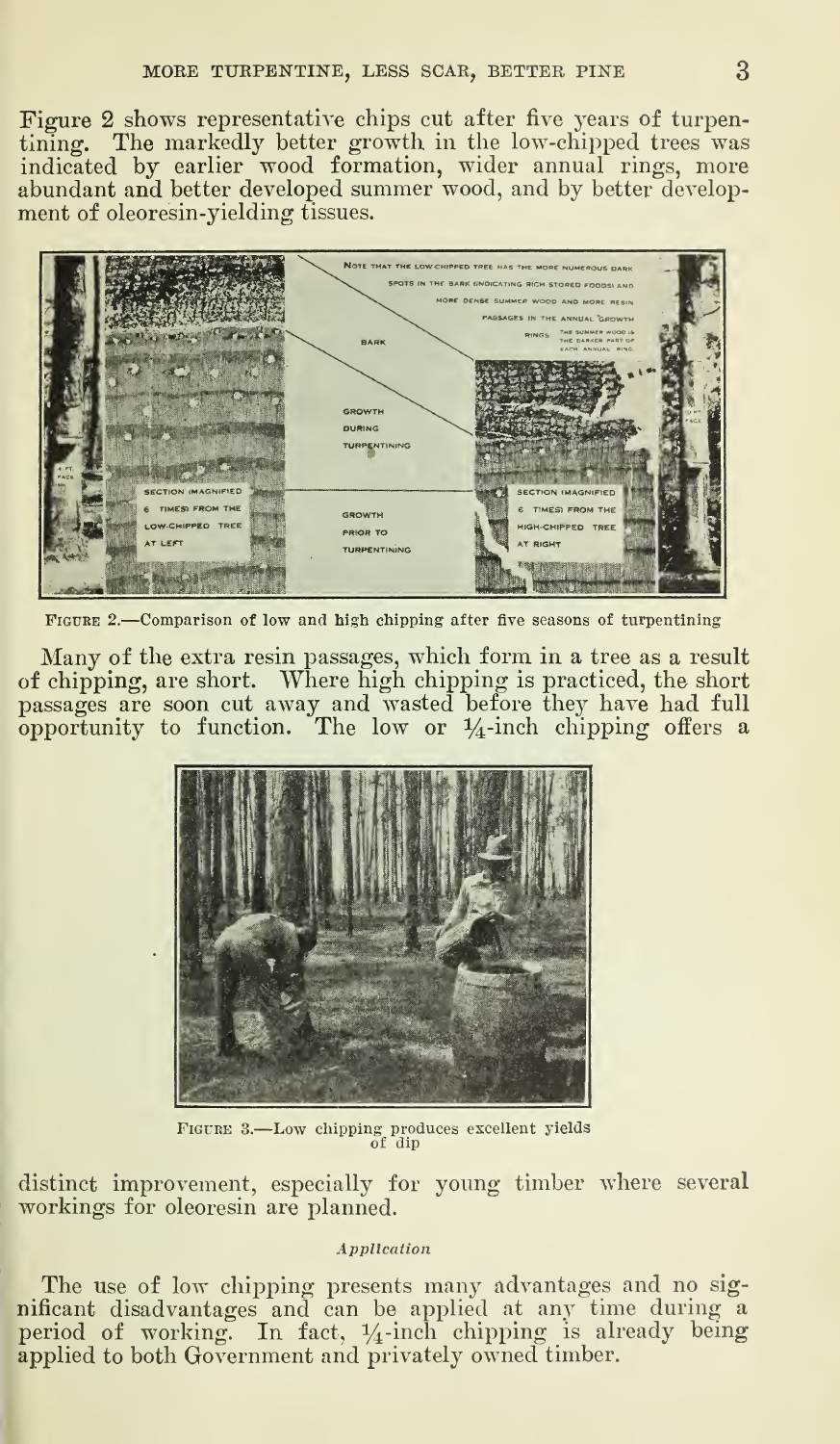Figure 2 shows representative chips cut after five years of turpentining. The markedly better growth in the low-chipped trees was indicated by earlier wood formation, wider annual rings, more abundant and better developed summer wood, and by better development of oleoresin-yielding tissues.



Figure 2.—Comparison of low and high chipping after five seasons of turpentining

Many of the extra resin passages, which form in a tree as a result of chipping, are short. Where high chipping is practiced, the short passages are soon cut away and wasted before they have had full opportunity to function. The low or  $\frac{1}{4}$ -inch chipping offers a



FIGURE 3.—Low chipping produces excellent yields of dip

distinct improvement, especially for young timber where several workings for oleoresin are planned.

#### Application

The use of low chipping presents many advantages and no significant disadvantages and can be applied at any time during a period of working. In fact,  $1/4$ -inch chipping is already being applied to both Government and privately owned timber.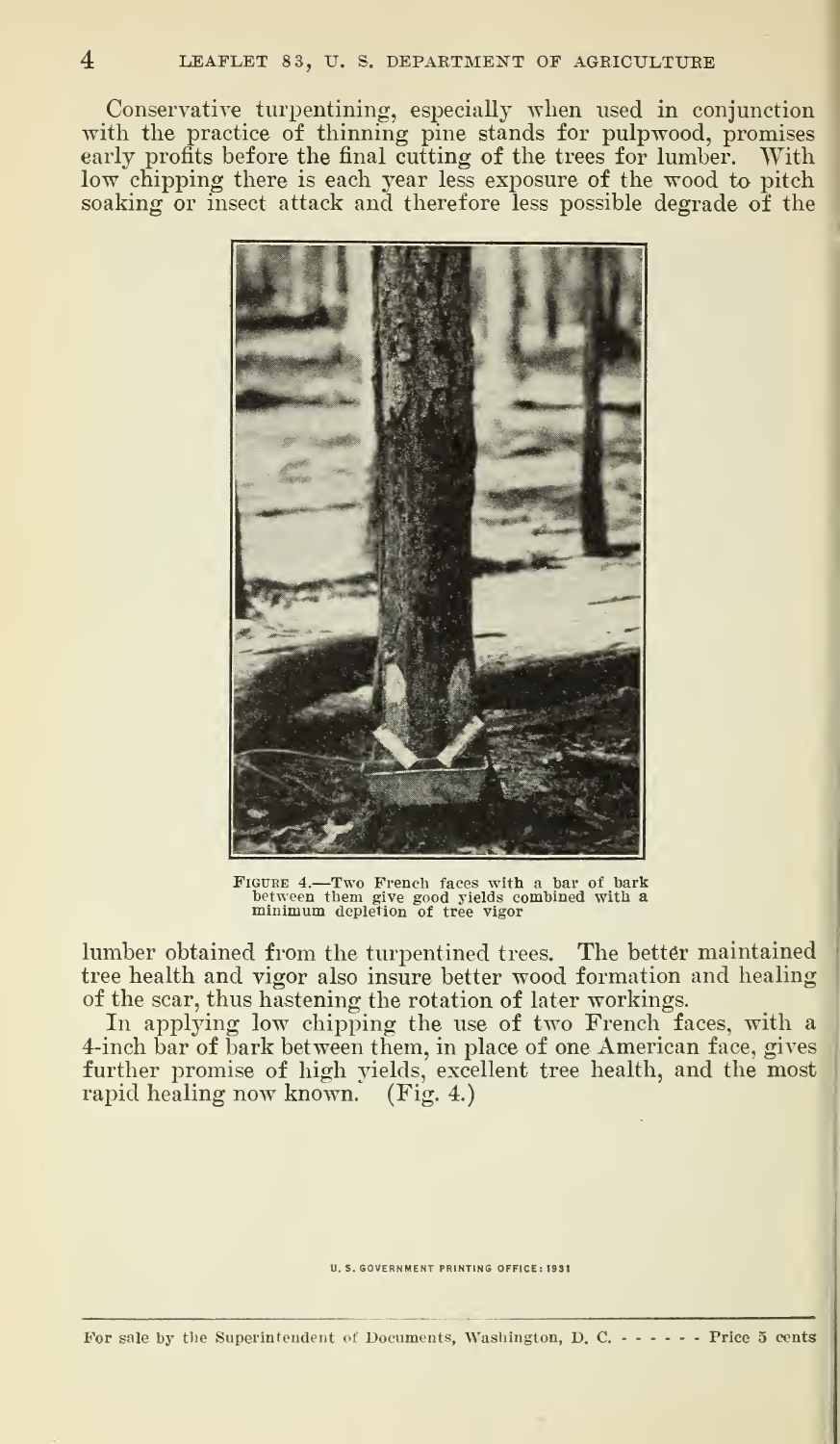Conservative turpentining, especially when used in conjunction with the practice of thinning pine stands for pulpwood, promises early profits before the final cutting of the trees for lumber. With low chipping there is each year less exposure of the wood to pitch soaking or insect attack and therefore less possible degrade of the



FiGDEE 4.—Two French faces with <sup>a</sup> bar of bark between them give good yields combined with <sup>a</sup> minimum depletion of tree vigor

lumber obtained from the turpentined trees. The better maintained tree health and vigor also insure better wood formation and healing of the scar, thus hastening the rotation of later workings.

In applying low chipping the use of two French faces, with a 4-inch bar of bark between them, in place of one American face, gives further promise of high yields, excellent tree health, and the most rapid healing now known. (Fig. 4.)

U. S. GOVERNMENT PRINTING OFFICE: 1931

For sale by the Superintendent of Documents, Washington, D. C.  $\cdots$   $\cdots$  Price 5 cents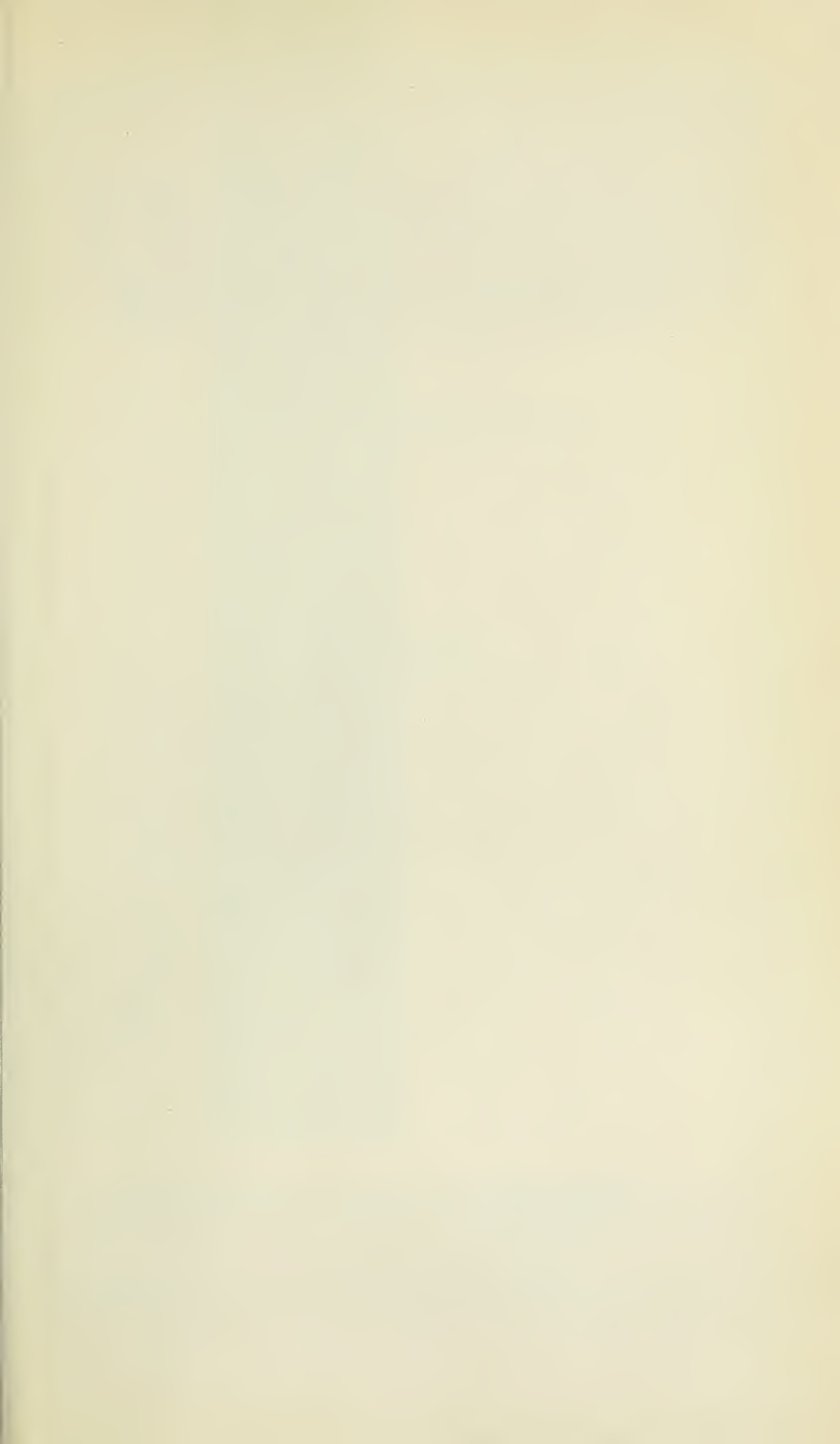